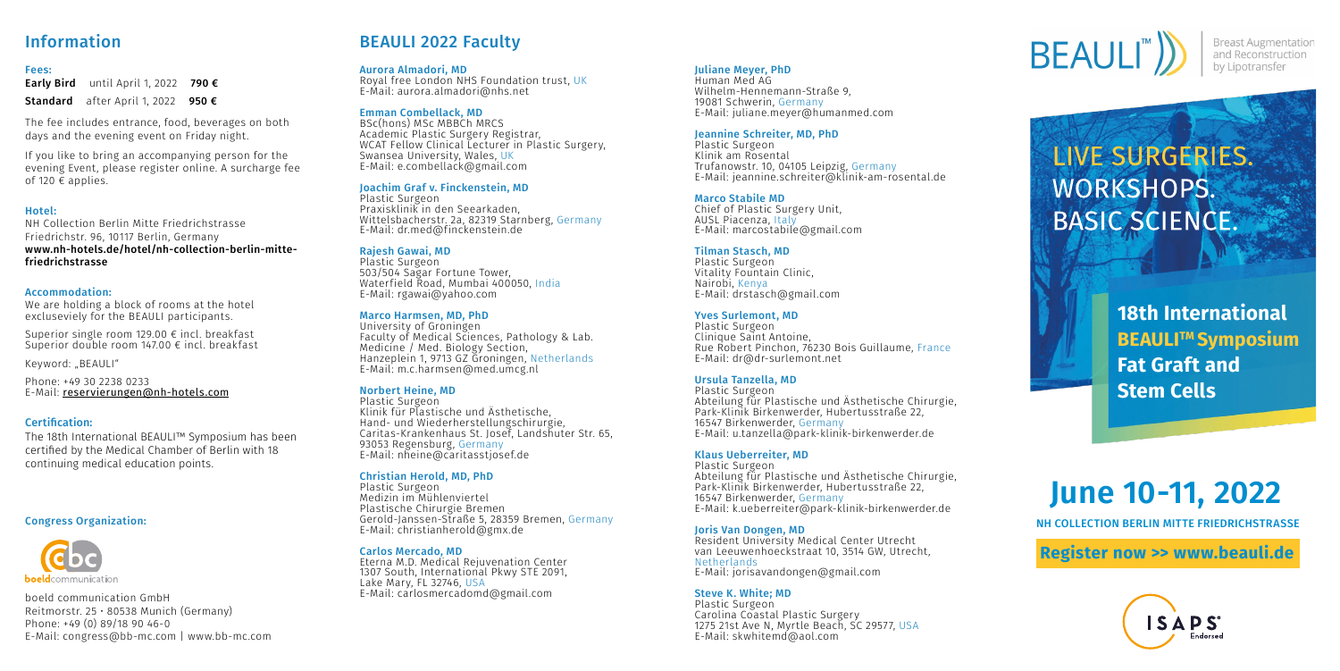**[Register now >> www.beauli.de](https://www.beauli.de/)**



# **June 10-11, 2022**

#### Fees:

Early Bird until April 1, 2022 790 € Standard after April 1, 2022 950 €

#### Hotel:

NH Collection Berlin Mitte Friedrichstrasse Friedrichstr. 96, 10117 Berlin, Germany www.nh-hotels.de/hotel/nh-collection-berlin-mittefriedrichstrasse

#### Accommodation:

We are holding a block of rooms at the hotel excluseviely for the BEAULI participants.

If you like to bring an accompanying person for the evening Event, please register online. A surcharge fee of 120  $\epsilon$  applies.

Superior single room 129.00 € incl. breakfast Superior double room 147.00 € incl. breakfast

Keyword: "BEAULI"

Phone: +49 30 2238 0233 E-Mail: <reservierungen@nh-hotels.com>

boeld communication GmbH Reitmorstr. 25 • 80538 Munich (Germany) Phone: +49 (0) 89/18 90 46-0 [E-Mail: congress@bb-mc.com | www.bb-mc.com](www.bb-mc.com)

# Information BEAULI 2022 Faculty

The fee includes entrance, food, beverages on both days and the evening event on Friday night.

> **18th International BEAULI™ Symposium Fat Graft and Stem Cells**

NH COLLECTION BERLIN MITTE FRIEDRICHSTRASSE

#### Juliane Meyer, PhD

Human Med AG Wilhelm-Hennemann-Straße 9, 19081 Schwerin, Germany E-Mail: juliane.meyer@humanmed.com

#### Jeannine Schreiter, MD, PhD

Plastic Surgeon Klinik am Rosental Trufanowstr. 10, 04105 Leipzig, Germany E-Mail: jeannine.schreiter@klinik-am-rosental.de

#### Marco Stabile MD

Chief of Plastic Surgery Unit, AUSL Piacenza, Italy E-Mail: marcostabile@gmail.com

#### Tilman Stasch, MD

Plastic Surgeon Vitality Fountain Clinic, Nairobi, Kenya E-Mail: drstasch@gmail.com

#### Yves Surlemont, MD

Plastic Surgeon Clinique Saint Antoine, Rue Robert Pinchon, 76230 Bois Guillaume, France E-Mail: dr@dr-surlemont.net

#### Ursula Tanzella, MD

Plastic Surgeon Abteilung für Plastische und Ästhetische Chirurgie, Park-Klinik Birkenwerder, Hubertusstraße 22, 16547 Birkenwerder, Germany E-Mail: u.tanzella@park-klinik-birkenwerder.de

#### Klaus Ueberreiter, MD

Plastic Surgeon Abteilung für Plastische und Ästhetische Chirurgie, Park-Klinik Birkenwerder, Hubertusstraße 22, 16547 Birkenwerder, Germany E-Mail: k.ueberreiter@park-klinik-birkenwerder.de

#### Joris Van Dongen, MD

Resident University Medical Center Utrecht van Leeuwenhoeckstraat 10, 3514 GW, Utrecht **Netherlands** E-Mail: jorisavandongen@gmail.com

#### Steve K. White; MD

Plastic Surgeon Carolina Coastal Plastic Surgery 1275 21st Ave N, Myrtle Beach, SC 29577, USA E-Mail: skwhitemd@aol.com



**Breast Augmentation** and Reconstruction by Lipotransfer

# LIVE SURGERIES. **WORKSHOPS. BASIC SCIENCE.**

#### Aurora Almadori, MD

Royal free London NHS Foundation trust, UK E-Mail: aurora.almadori@nhs.net

#### Emman Combellack, MD

BSc(hons) MSc MBBCh MRCS Academic Plastic Surgery Registrar, WCAT Fellow Clinical Lecturer in Plastic Surgery. Swansea University, Wales, UK E-Mail: e.combellack@gmail.com

#### Joachim Graf v. Finckenstein, MD

Plastic Surgeon Praxisklinik in den Seearkaden, Wittelsbacherstr. 2a, 82319 Starnberg, Germany E-Mail: dr.med@finckenstein.de

#### Rajesh Gawai, MD

Plastic Surgeon 503/504 Sagar Fortune Tower, Waterfield Road, Mumbai 400050, India E-Mail: rgawai@yahoo.com

#### Marco Harmsen, MD, PhD

University of Groningen Faculty of Medical Sciences, Pathology & Lab. Medicine / Med. Biology Section, Hanzeplein 1, 9713 GZ Groningen, Netherlands E-Mail: m.c.harmsen@med.umcg.nl

#### Norbert Heine, MD

Plastic Surgeon Klinik für Plastische und Ästhetische, Hand- und Wiederherstellungschirurgie, Caritas-Krankenhaus St. Josef, Landshuter Str. 65, 93053 Regensburg, Germany E-Mail: nheine@caritasstjosef.de

#### Christian Herold, MD, PhD

Plastic Surgeon Medizin im Mühlenviertel Plastische Chirurgie Bremen Gerold-Janssen-Straße 5, 28359 Bremen, Germany E-Mail: christianherold@gmx.de

#### Carlos Mercado, MD

Eterna M.D. Medical Rejuvenation Center 1307 South, International Pkwy STE 2091, Lake Mary, FL 32746, USA E-Mail: carlosmercadomd@gmail.com

#### Congress Organization:



#### Certification:

The 18th International BEAULI™ Symposium has been certified by the Medical Chamber of Berlin with 18 continuing medical education points.